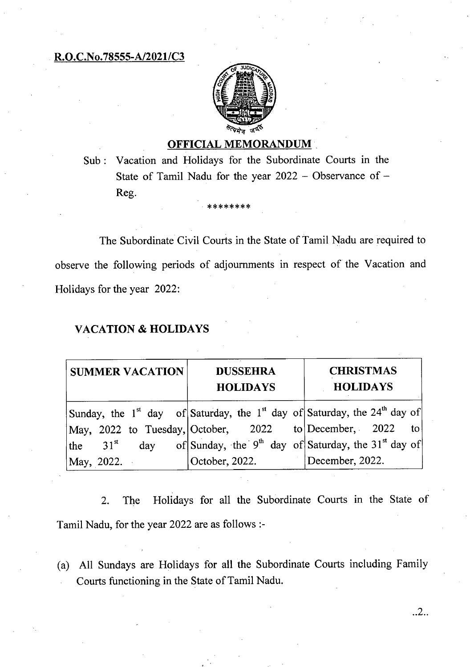## **R.O.C.No.78555-A/2021/C3**



## **OFFICIAL MEMORANDUM**

Sub: Vacation and Holidays for the Subordinate Courts in the State of Tamil Nadu for the year 2022 — Observance of — Reg.

\* \*\*\*\*\*\*\*

The Subordinate Civil Courts in the State of Tamil Nadu are required to observe the following periods of adjournments in respect of the Vacation and Holidays for the year 2022:

#### **VACATION & HOLIDAYS**

| <b>SUMMER VACATION</b>                                                                                        | <b>DUSSEHRA</b><br><b>HOLIDAYS</b> | <b>CHRISTMAS</b><br><b>HOLIDAYS</b> |
|---------------------------------------------------------------------------------------------------------------|------------------------------------|-------------------------------------|
| Sunday, the 1 <sup>st</sup> day of Saturday, the 1 <sup>st</sup> day of Saturday, the 24 <sup>th</sup> day of |                                    |                                     |
| May, 2022 to Tuesday, October, 2022 to December, 2022                                                         |                                    | $\bullet$ to                        |
| the 31 <sup>st</sup> day of Sunday, the 9 <sup>th</sup> day of Saturday, the 31 <sup>st</sup> day of          |                                    |                                     |
| May, 2022.                                                                                                    | October, 2022.                     | December, 2022.                     |

2. The Holidays for all the Subordinate Courts in the State of Tamil Nadu, for the year 2022 are as follows :-

(a) All Sundays are Holidays for all the Subordinate Courts including Family Courts functioning in the State of Tamil Nadu.

..2..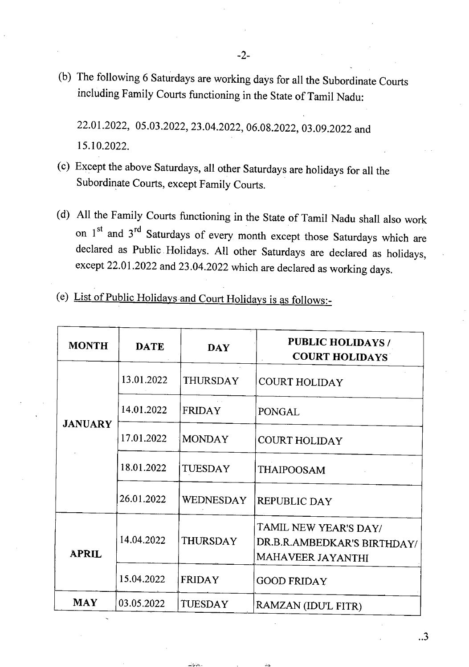(b) The following 6 Saturdays are working days for all the Subordinate Courts including Family Courts functioning in the State of Tamil Nadu:

22.01.2022, 05.03.2022, 23.04.2022, 06.08.2022, 03.09.2022 and 15.10.2022.

- Except the above Saturdays, all other Saturdays are holidays for all the Subordinate Courts, except Family Courts.
- All the Family Courts functioning in the State of Tamil Nadu shall also work on 1st and 3<sup>rd</sup> Saturdays of every month except those Saturdays which are declared as Public Holidays. All other Saturdays are declared as holidays, except 22.01.2022 and 23.04.2022 which are declared as working days.
- List of Public Holidays and Court Holidays is as follows:-

| <b>MONTH</b>   | <b>DATE</b> | <b>DAY</b>       | <b>PUBLIC HOLIDAYS /</b><br><b>COURT HOLIDAYS</b>                         |
|----------------|-------------|------------------|---------------------------------------------------------------------------|
| <b>JANUARY</b> | 13.01.2022  | <b>THURSDAY</b>  | <b>COURT HOLIDAY</b>                                                      |
|                | 14.01.2022  | <b>FRIDAY</b>    | <b>PONGAL</b>                                                             |
|                | 17.01.2022  | <b>MONDAY</b>    | <b>COURT HOLIDAY</b>                                                      |
|                | 18.01.2022  | TUESDAY          | <b>THAIPOOSAM</b>                                                         |
|                | 26.01.2022  | <b>WEDNESDAY</b> | <b>REPUBLIC DAY</b>                                                       |
| <b>APRIL</b>   | 14.04.2022  | THURSDAY         | TAMIL NEW YEAR'S DAY/<br>DR.B.R.AMBEDKAR'S BIRTHDAY/<br>MAHAVEER JAYANTHI |
|                | 15.04.2022  | <b>FRIDAY</b>    | <b>GOOD FRIDAY</b>                                                        |
| <b>MAY</b>     | 03.05.2022  | <b>TUESDAY</b>   | RAMZAN (IDU'L FITR)                                                       |

 $\cdot$ .3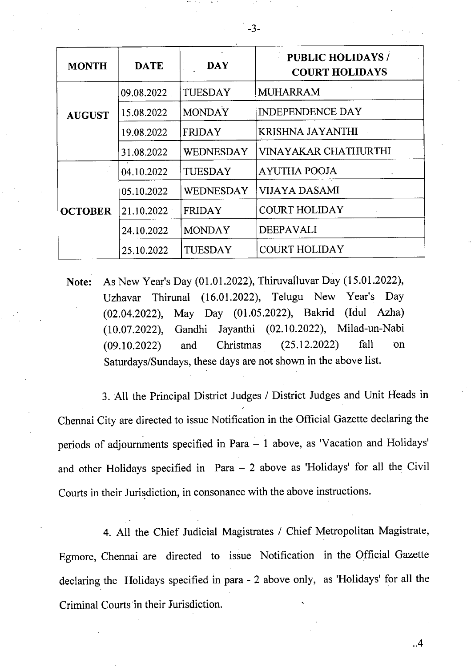| <b>MONTH</b>   | <b>DATE</b> | <b>DAY</b>     | <b>PUBLIC HOLIDAYS /</b><br><b>COURT HOLIDAYS</b> |
|----------------|-------------|----------------|---------------------------------------------------|
| <b>AUGUST</b>  | 09.08.2022  | <b>TUESDAY</b> | <b>MUHARRAM</b>                                   |
|                | 15.08.2022  | <b>MONDAY</b>  | <b>INDEPENDENCE DAY</b>                           |
|                | 19.08.2022  | <b>FRIDAY</b>  | KRISHNA JAYANTHI                                  |
|                | 31.08.2022  | WEDNESDAY      | VINAYAKAR CHATHURTHI                              |
| <b>OCTOBER</b> | 04.10.2022  | TUESDAY        | <b>AYUTHA POOJA</b>                               |
|                | 05.10.2022  | WEDNESDAY      | VIJAYA DASAMI                                     |
|                | 21.10.2022  | <b>FRIDAY</b>  | <b>COURT HOLIDAY</b>                              |
|                | 24.10.2022  | <b>MONDAY</b>  | <b>DEEPAVALI</b>                                  |
|                | 25.10.2022  | TUESDAY        | <b>COURT HOLIDAY</b>                              |

**Note:** As New Year's Day (01.01.2022), Thiruvalluvar Day (15.01.2022), Uzhavar Thirunal (16.01.2022), Telugu New Year's Day (02.04.2022), May Day (01.05.2022), Bakrid (Idul Azha) (10.07.2022), Gandhi Jayanthi (02.10.2022), Milad-un-Nabi (09.10.2022) and Christmas (25.12.2022) fall on Saturdays/Sundays, these days are not shown in the above list.

All the Principal District Judges / District Judges and Unit Heads in Chennai City are directed to issue Notification in the Official Gazette declaring the periods of adjournments specified in Para — 1 above, as 'Vacation and Holidays' and other Holidays specified in Para — 2 above as 'Holidays' for all the Civil Courts in their Jurisdiction, in consonance with the above instructions.

All the Chief Judicial Magistrates / Chief Metropolitan Magistrate, Egmore, Chennai are directed to issue Notification in the Official Gazette declaring the Holidays specified in para - 2 above only, as 'Holidays' for all the Criminal Courts in their Jurisdiction.

..4

-3-